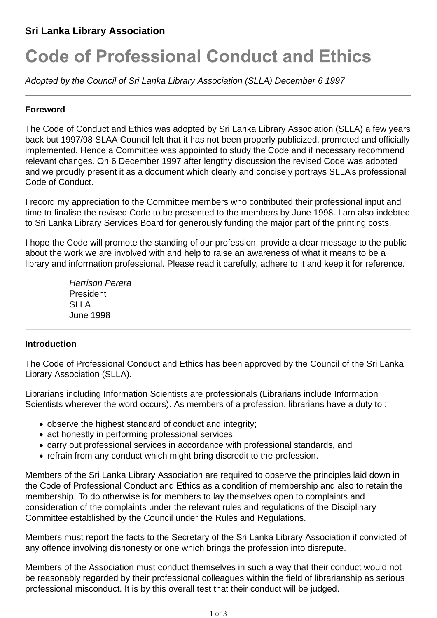# **Sri Lanka Library Association**

# **Code of Professional Conduct and Ethics**

*Adopted by the Council of Sri Lanka Library Association (SLLA) December 6 1997*

#### **Foreword**

The Code of Conduct and Ethics was adopted by Sri Lanka Library Association (SLLA) a few years back but 1997/98 SLAA Council felt that it has not been properly publicized, promoted and officially implemented. Hence a Committee was appointed to study the Code and if necessary recommend relevant changes. On 6 December 1997 after lengthy discussion the revised Code was adopted and we proudly present it as a document which clearly and concisely portrays SLLA's professional Code of Conduct.

I record my appreciation to the Committee members who contributed their professional input and time to finalise the revised Code to be presented to the members by June 1998. I am also indebted to Sri Lanka Library Services Board for generously funding the major part of the printing costs.

I hope the Code will promote the standing of our profession, provide a clear message to the public about the work we are involved with and help to raise an awareness of what it means to be a library and information professional. Please read it carefully, adhere to it and keep it for reference.

> *Harrison Perera* President **SLLA** June 1998

#### **Introduction**

The Code of Professional Conduct and Ethics has been approved by the Council of the Sri Lanka Library Association (SLLA).

Librarians including Information Scientists are professionals (Librarians include Information Scientists wherever the word occurs). As members of a profession, librarians have a duty to :

- observe the highest standard of conduct and integrity;
- act honestly in performing professional services;
- carry out professional services in accordance with professional standards, and
- refrain from any conduct which might bring discredit to the profession.

Members of the Sri Lanka Library Association are required to observe the principles laid down in the Code of Professional Conduct and Ethics as a condition of membership and also to retain the membership. To do otherwise is for members to lay themselves open to complaints and consideration of the complaints under the relevant rules and regulations of the Disciplinary Committee established by the Council under the Rules and Regulations.

Members must report the facts to the Secretary of the Sri Lanka Library Association if convicted of any offence involving dishonesty or one which brings the profession into disrepute.

Members of the Association must conduct themselves in such a way that their conduct would not be reasonably regarded by their professional colleagues within the field of librarianship as serious professional misconduct. It is by this overall test that their conduct will be judged.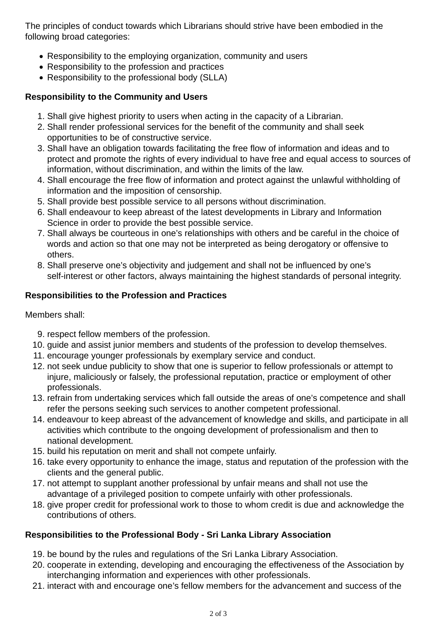The principles of conduct towards which Librarians should strive have been embodied in the following broad categories:

- Responsibility to the employing organization, community and users
- Responsibility to the profession and practices
- Responsibility to the professional body (SLLA)

# **Responsibility to the Community and Users**

- 1. Shall give highest priority to users when acting in the capacity of a Librarian.
- 2. Shall render professional services for the benefit of the community and shall seek opportunities to be of constructive service.
- 3. Shall have an obligation towards facilitating the free flow of information and ideas and to protect and promote the rights of every individual to have free and equal access to sources of information, without discrimination, and within the limits of the law.
- 4. Shall encourage the free flow of information and protect against the unlawful withholding of information and the imposition of censorship.
- 5. Shall provide best possible service to all persons without discrimination.
- Shall endeavour to keep abreast of the latest developments in Library and Information 6. Science in order to provide the best possible service.
- 7. Shall always be courteous in one's relationships with others and be careful in the choice of words and action so that one may not be interpreted as being derogatory or offensive to others.
- Shall preserve one's objectivity and judgement and shall not be influenced by one's 8. self-interest or other factors, always maintaining the highest standards of personal integrity.

# **Responsibilities to the Profession and Practices**

Members shall:

- 9. respect fellow members of the profession.
- 10. guide and assist junior members and students of the profession to develop themselves.
- 11. encourage younger professionals by exemplary service and conduct.
- 12. not seek undue publicity to show that one is superior to fellow professionals or attempt to injure, maliciously or falsely, the professional reputation, practice or employment of other professionals.
- 13. refrain from undertaking services which fall outside the areas of one's competence and shall refer the persons seeking such services to another competent professional.
- 14. endeavour to keep abreast of the advancement of knowledge and skills, and participate in all activities which contribute to the ongoing development of professionalism and then to national development.
- 15. build his reputation on merit and shall not compete unfairly.
- 16. take every opportunity to enhance the image, status and reputation of the profession with the clients and the general public.
- 17. not attempt to supplant another professional by unfair means and shall not use the advantage of a privileged position to compete unfairly with other professionals.
- 18. give proper credit for professional work to those to whom credit is due and acknowledge the contributions of others.

# **Responsibilities to the Professional Body - Sri Lanka Library Association**

- 19. be bound by the rules and regulations of the Sri Lanka Library Association.
- 20. cooperate in extending, developing and encouraging the effectiveness of the Association by interchanging information and experiences with other professionals.
- 21. interact with and encourage one's fellow members for the advancement and success of the